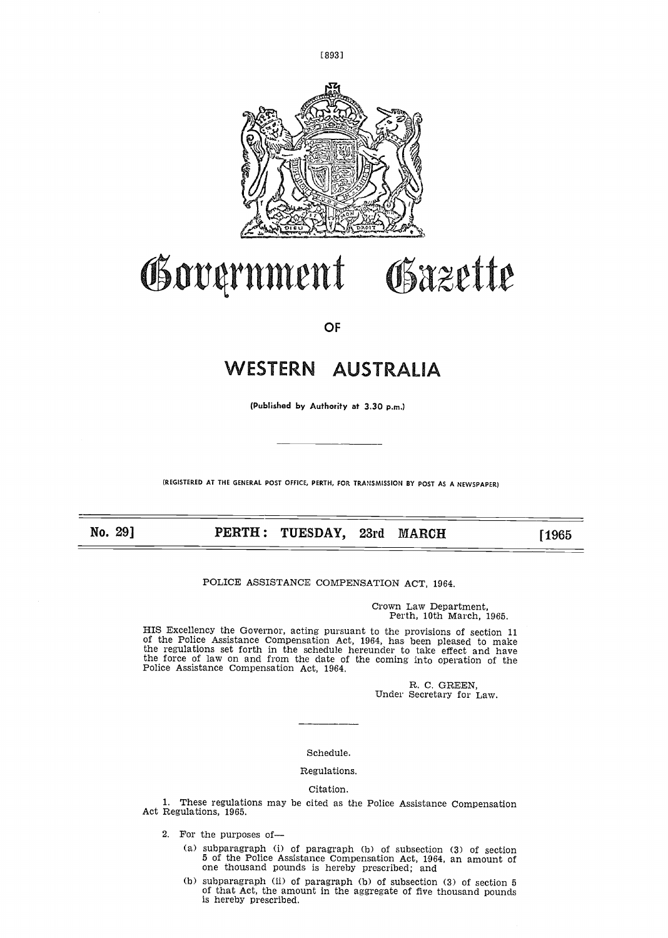



# Government Gazette

# **OF**

# SIERN AUSTRALIA

(Published by Authority at 3.30 p.m.)

(REGISTERED AT THE GENERAL POST OFFICE, PERTH, FOR TRANSMISSION BY POST AS A NEWSPAPER)

PERTH: TUESDAY, 23rd MARCH [1965]

POLICE ASSISTANCE COMPENSATION ACT, 1964.

Crown Law Department, Perth, 10th March, 1965.

HIS Excellency the Governor, acting pursuant to the provisions of section 11 of the Police Assistance Compensation Act, 1964, has been pleased to make the regulations set forth in the schedule hereunder to take effect and have the force of law on and from the date of the coming into operation of the Police Assistance Compensation Act, 1964 .

> R. C. GREEN, Under Secretary for Law.

Schedule.

# Regulations.

# Citation.

1. These regulations may be cited as the Police Assistance Compensation Act Regulations, 1965.

- 2. For the purposes of-
	- (a) subparagraph (i) of paragraph (b) of subsection (3) of section 5 of the Police Assistance Compensation Act, 1964, an amount of one thousand pounds is hereby prescribed; and
	- (b) subparagraph (ii) of paragraph (b) of subsection (3) of section 5 of that Act, the amount in the aggregate of five thousand pounds is hereby prescribed.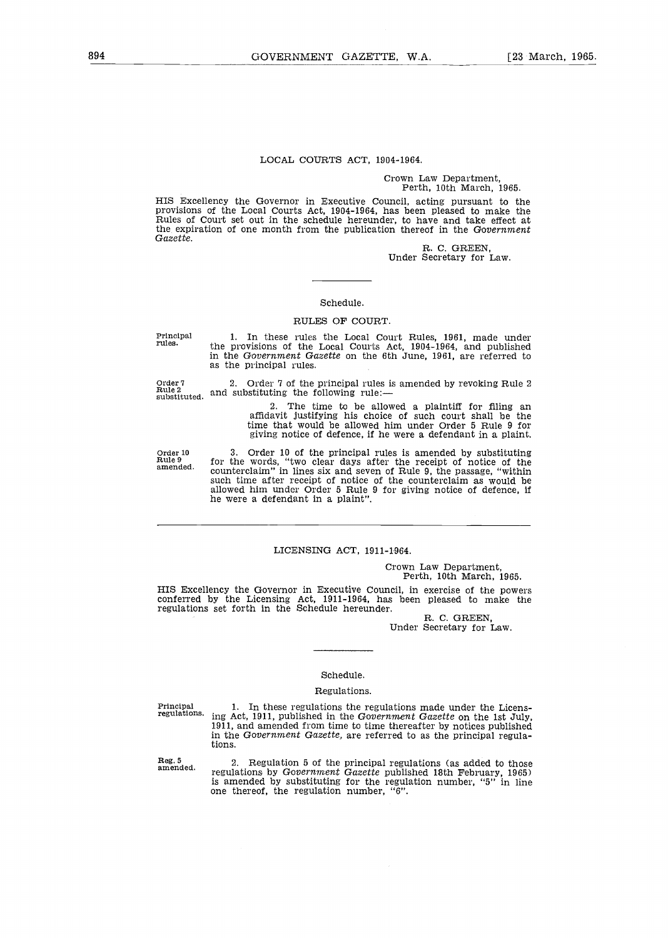#### LOCAL COURTS ACT, 1904-1964.

#### Crown Law Department, Perth, 10th March, 1965.

HIS Excellency the Governor in Executive Council, acting pursuant to the provisions of the Local Courts Act, 1904-1964, has been pleased to make the Rules of Court set out in the schedule hereunder, to have and take effect at the expiration of one month from the publication thereof in the Government Gazette.

R. C . GREEN, Under Secretary for Law.

#### Schedule.

#### RULES OF COURT.

Principal rules .

Order 7 Rule 2 substituted .

as the principal rules.

<sup>2</sup> . Order 7 of the principal rules is amended by revoking Rule 2 and substituting the following rule:-

1. In these rules the Local Court Rules, 1961, made under the provisions of the Local Courts Act, 1904-1964, and published in the Government Gazette on the 6th June, 1961, are referred to

> The time to be allowed a plaintiff for filing an affidavit justifying his choice of such court shall be the time that would be allowed him under Order 5 Rule 9 for giving notice of defence, if he were a defendant in a plaint.

Order 10 Rule 9 amended,

3 . Order 10 of the principal rules is amended by substituting for the words, "two clear days after the receipt of notice of the counterclaim" in lines six and seven of Rule 9, the passage, "within such time after receipt of notice of the counterclaim as would be allowed him under Order 5 Rule 9 for giving notice of defence, if he were a defendant in a plaint" .

#### LICENSING ACT, 1911-1964.

Crown Law Department, Perth, 10th March, 1965.

HIS Excellency the Governor in Executive Council, in exercise of the powers conferred by the Licensing Act, 1911-1964, has been pleased to make the regulations set forth in the Schedule hereunder .

R. C. GREEN, Under Secretary for Law.

# Schedule.

#### Regulations.

Principal<br>regulations.

1. In these regulations the regulations made under the Licensing Act, 1911, published in the Government Gazette on the 1st July, 1911, and amended from time to time thereafter by notices published in the Government Gazette, are referred to as the principal regulations.

Reg. 5 amended .

Regulation 5 of the principal regulations (as added to those regulations by Gov*ernment Gazette* published 18th February, 1965)<br>is amended by substituting for the regulation number, "5" in line one thereof, the regulation number, "6".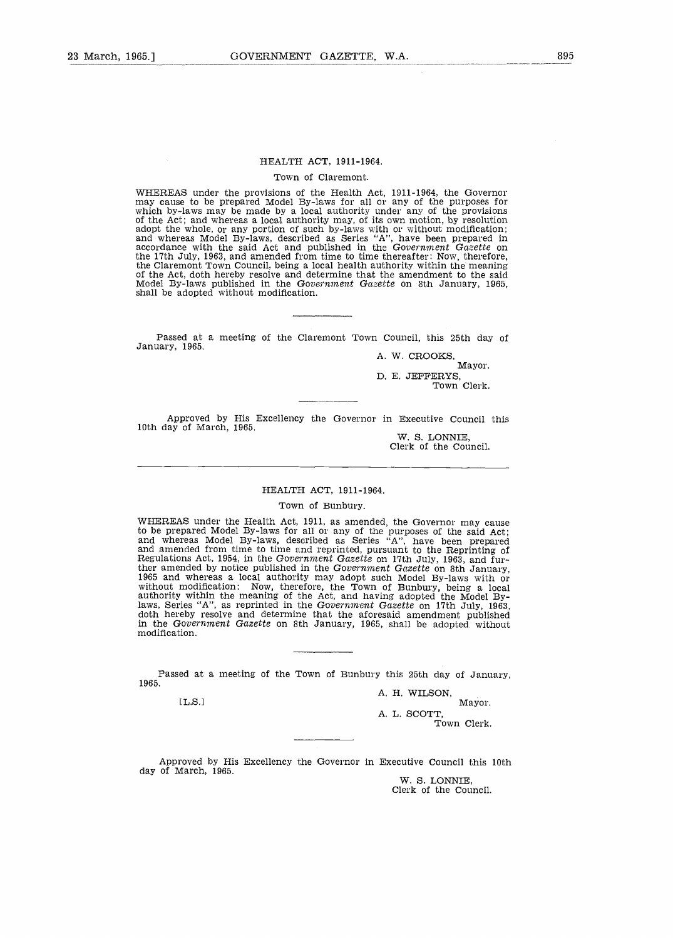#### Town of Claremont.

WHEREAS under the provisions of the Health Act, 1911-1964, the Governor<br>may cause to be prepared Model By-laws for all or any of the purposes for<br>which by-laws may be made by a local authority under any of the provisions<br>o and whereas Model By-laws, described as Series "A", have been prepared in accordance with the said Act and published in the Government Gazette on the 17th July, 1963, and amended from time to time thereafter : Now, therefore, the Claremont Town Council, being a local health authority within the meaning of the Act, doth hereby resolve and determine that the amendment to the said Model By-laws published in the Go*vernment Gazette* on 8th January, 1965,<br>shall be adopted without modification.

Passed at a meeting of the Claremont Town Council, this 25th day of January, 1965.

A. W. CROOKS, Mayor. D. E. JEFFERYS,

Town Clerk.

Approved by His Excellency the Governor in Executive Council this 10th day of March, 1965.

W. S. LONNIE, Clerk of the Council .

#### HEALTH ACT, 1911-1964.

#### Town of Bunbury.

WHEREAS under the Health Act, 1911, as amended, the Governor may cause to be prepared model By-laws for all or any of the purposes of the said Act;<br>and whereas Model By-laws, described as Series "A", have been prepared<br>and amended from time to time and reprinted, pursuant to the Reprinting of ther amended by notice published in the Government Gazette on 8th January, 1965 and whereas a local authority may adopt such Model By-laws with or without modification: Now, therefore, the Town of Bunbury, being a local authority within the meaning of the Act, and having adopted the Model Bylaws, Series "A", as reprinted in the Government Gazette on 17th July, 1963, doth hereby resolve and determine that the aforesaid amendment published in the Government Gazette on 8th January, 1965, shall be adopted without modification.

Passed at a meeting of the Town of Bunbury this 25th day of January, 1965.

 $[L.S.]$ 

A. H. WILSON, Mayor.

A. L. SCOTT, Town Clerk.

Approved by His Excellency the Governor in Executive Council this 10th day of March, 1965.

W. S. LONNIE. Clerk of the Council.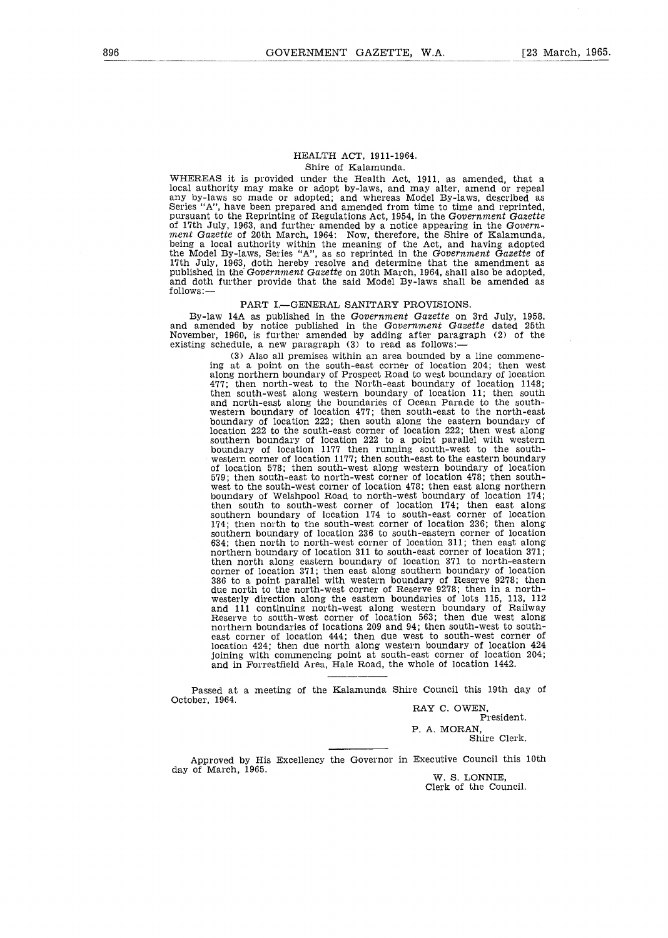#### HEALTH ACT, 1911-1964. Shire of Kalamunda.

WHEREAS it is provided under the Health Act, 1911, as amended, that a local authority may make or adopt by-laws, and may alter, amend or repeal any by-laws so made or adopted; and whereas Model By-laws, described as Series "A", have been prepared and amended from time to time and reprinted, pursuant to the Reprinting of Regulations Act, 1954, in the Government Gazette of 17th July, 1963, and further amended by a notice appearing in the Government Gazette of 20th March, 1964: Now, therefore, the Shire of Kalamunda, being a local authority within the meaning of the Act, and having adopted<br>the Model By-laws, Series "A", as so reprinted in the *Government Gazette* of 17th July, 1963, doth hereby resolve and determine that the amendment as published in the Government Gazette on 20th March, 1964, shall also be adopted, and doth further provide that the said Model By-laws shall be amended as follows :-

# PART I.-GENERAL SANITARY PROVISIONS.

By-law 14A as published in the Government Gazette on 3rd July, 1958, and amended by notice published in the Government Gazette dated 25th November, 1960, is further amended by adding after paragraph (2) of the existing schedule, a new paragraph (3) to read as follows:-

(3) Also all premises within an area bounded by a line commencing at a point on the south-east corner of location 204; then west along northern boundary of Prospect Road to west boundary of location 477; then north-west to the North-east boundary of location 1148; then south-west along western boundary of location 11 ; then south and north-east along the boundaries of Ocean Parade to the southwestern boundary of location 477 ; then south-east to the north-east boundary of location 222 ; then south along the eastern boundary of location 222 to the south-east corner of location 222 ; then west along southern boundary of location 222 to a point parallel with western boundary of location 1177 then running south-west to the southwestern corner of location 1177 ; then south-east to the eastern boundary of location 578; then south-west along western boundary of location 579 ; then south-east to north-west corner of location 478 ; then southwest to the south-west corner of location 473 ; then east along northern boundary of Welshpool Road to north-west boundary of location 174; then south to south-west corner of location 174; then east along southern boundary of location 174 to south-east corner of location 174 ; then north to the south-west corner of location 236 ; then along southern boundary of location 236 to south-eastern corner of location 634; then north to north-west corner of location 311 ; then east along northern boundary of location 311 to south-east corner of location 371 ; then north along eastern boundary of location 371 to north-eastern corner of location 371 ; then east along southern boundary of location 386 to a point parallel with western boundary of Reserve 9278 ; then due north to the north-west corner of Reserve 9278 ; then in a northwesterly direction along the eastern boundaries of lots 115, 113, 112 and ill continuing north-west along western boundary of Railway Reserve to south-west corner of location 563; then due west along northern boundaries of locations 209 and 94 ; then south-west to southeast corner of location 444; then due west to south-west corner of location 424 ; then due north along western boundary of location 424 joining with commencing point at south-east corner of location 204; and in Forrestfield Area, Hale Road, the whole of location 1442.

Passed at a meeting of the Kalamunda Shire Council this 19th day of October, 1964.

RAY C. OWEN, President.

P. A. MORAN, Shire Clerk .

Approved by His Excellency the Governor in Executive Council this 10th day of March, 1965.

W. S. LONNIE. Clerk of the Council.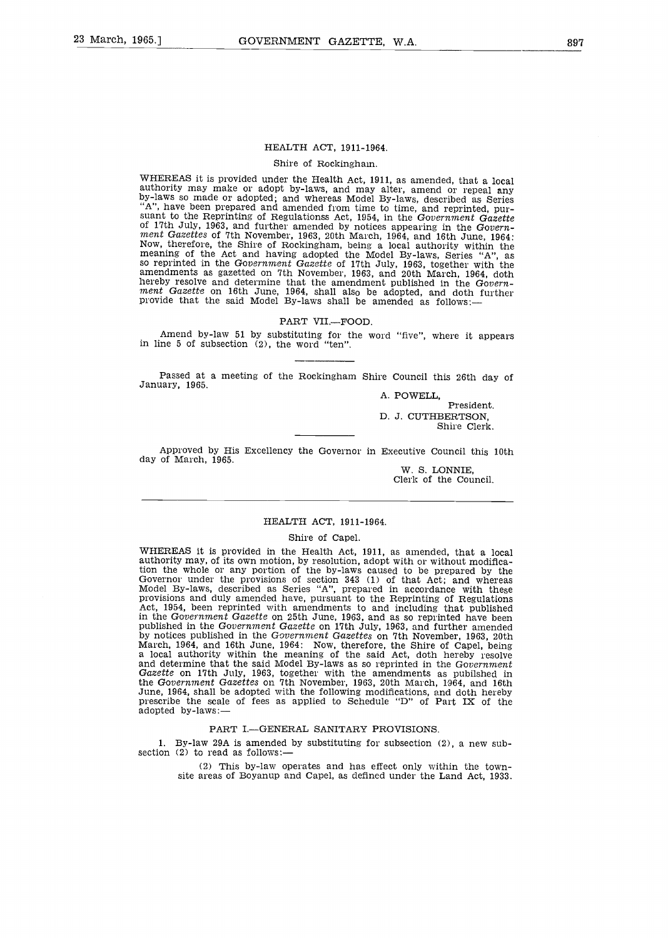#### HEALTH ACT, 1911-1964.

#### Shire of Rockingham.

WHEREAS it is provided under the Health Act, 1911, as amended, that a local authority may make or adopt by-laws, and may alter, amend or repeal any by-laws so made or adopted ; and whereas Model By-laws, described as Series  $A''$ , have been prepared and amended from time to time, and reprinted, pursuant to the Reprinting of Regulationss Act, 1954, in the Government Gazette of 17th July, 1963, and further amended by notices appearing in the Govern-<br>ment Gazettes of 7th November, 1963, 20th March, 1964, and 16th June, 1964: Now, therefore, the Shire of Rockingham, being a local authority within the meaning of the Act and having adopted the Model By-laws, Series "A", as so reprinted in the Government Gazette of 17th July, 1963, together with the amendments as gazetted on 7th November, 1963, and 20th March, 1964, doth hereby resolve and determine that the amendment published in the Govern-ment Gazette on 16th June, 1964, shall also be adopted, and doth further provide that the said Model By-laws shall be amended as follows:—

#### PART VII.-FOOD.

Amend by-law 51 by substituting for the word "five", where it appears in line 5 of subsection (2), the word "ten" .

Passed at a meeting of the Rockingham Shire Council this 26th day of January, 1965.

A. POWELL,

President. D. J. CUTHBERTSON, Shire Clerk.

Approved by His Excellency the Governor in Executive Council this 10th day of March, 1965.

W. S. LONNIE, Clerk of the Council.

#### HEALTH ACT, 1911-1964.

#### Shire of Capel.

WHEREAS it is provided in the Health Act, 1911, as amended, that a local authority may, of its own motion, by resolution, adopt with or without modification the whole or any portion of the by-laws caused to be prepared by the Governor under the provisions of section  $343$  (1) of that Act; and whereas Model By-laws, described as Series "A", prepared in accordance with these provisions and duly amended have, pursuant to the Reprinting of Regulations Act, 1954, been reprinted with amendments to and including that published in the Government Gazette on 25th June, 1963, and as so reprinted have been published in the Government Gazette on 17th July, 1963, and further amended by notices published in the Government Gazettes on 7th November, 1963, 20th March, 1964, and 16th June, 1964 : Now, therefore, the Shire of Capel, being a local authority within the meaning of the said Act, doth hereby resolve and determine that the said Model By-laws as so reprinted in the Government Gazette on 17th July, 1963, together with the amendments as published in<br>the Government Gazettes on 7th November, 1963, 20th March, 1964, and 16th<br>June, 1964, shall be adopted with the following modifications, and doth her adopted by-laws:-

# PART I.-GENERAL SANITARY PROVISIONS.

1. By-law 29A is amended by substituting for subsection (2), a new subsection (2) to read as follows:-

(2) This by-law operates and has effect only within the townsite areas of Boyanup and Capel, as defined under the Land Act, 1933 .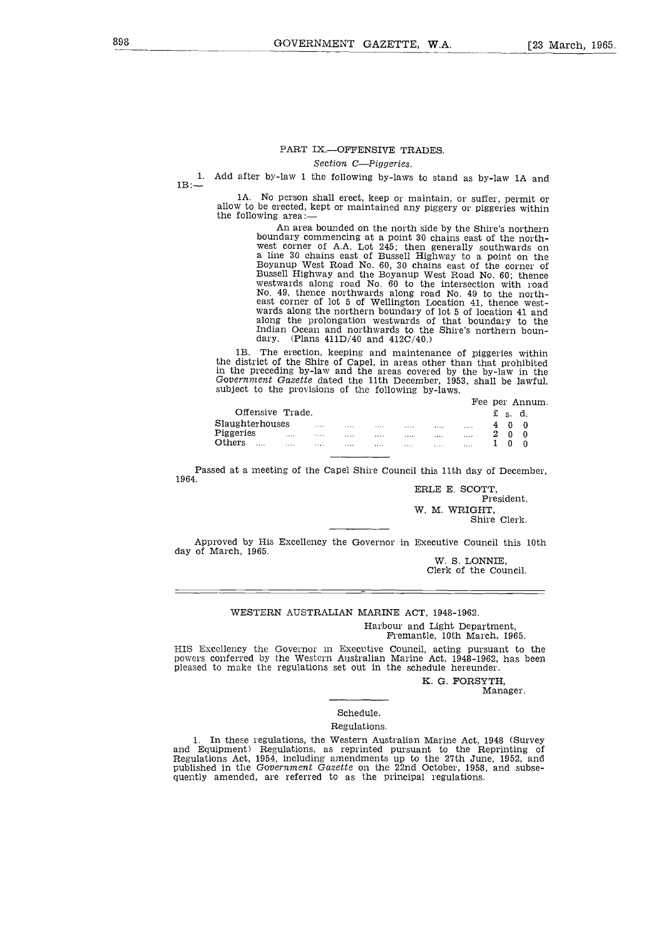#### PART IX.-OFFENSIVE TRADES.

Section C-Piggeries.

 $1B$  : $-$ . Add after by-law 1 the following by-laws to stand as by-law 1A and

1A. No person shall erect, keep or maintain, or suffer, permit or allow to be erected, kept or maintained any piggery or piggeries within the following area:

An area bounded on the north side by the Shire's northern boundary commencing at a point 30 chains east of the northwest corner of A.A. Lot 245; then generally southwards on a line 30 chains east of Bussell Highway to a point on the Boyanup West Road No. 60, 30 chains east of the corner of Bussell Highway and the Boyanup West Road No. 60; thence westwards along road No. 60 to the intersection with road No. 49, thence northwards along road No . 49 to the north-east corner of lot 5 of Wellington Location 41, thence west-wards along the northern boundary of lot 5 of location 41 and along the prolongation westwards of that boundary to the Indian Ocean and northwards to the Shire's northern boundary. (Plans  $411D/40$  and  $412C/40$ .)

1B. The erection, keeping and maintenance of piggeries within the district of the Shire of Capel, in areas other than that prohibited in the preceding by-law and the areas covered by the by-law in the Government Gazette dated the 11th December, 1953, shall be lawful, subject to the provisions of the following by-laws.

|                  |       |        |  |       |          |  |   |       | Fee per Annum. |  |
|------------------|-------|--------|--|-------|----------|--|---|-------|----------------|--|
| Offensive Trade. |       |        |  |       |          |  | £ | s. d. |                |  |
| Slaughterhouses  | 1.111 | 1.1.1. |  |       | $\cdots$ |  |   |       |                |  |
| Piggeries        | <br>  |        |  |       |          |  | 2 |       |                |  |
| Others<br>       | <br>  | 1.1.1  |  | 1.1.1 | 1.1.1    |  |   |       |                |  |

Passed at a meeting of the Capel Shire Council this 11th day of December, 1964.

ERLE E. SCOTT, President. W. M. WRIGHT, Shire Clerk.

Approved by His Excellency the Governor in Executive Council this 10th day of March, 1965.

W. S. LONNIE, Clerk of the Council.

#### WESTERN AUSTRALIAN MARINE ACT, 1948-1962 .

Harbour and Light Department, Fremantle, 10th March, 1965.

HIS Excellency the Governor in Executive Council, acting pursuant to the powers conferred by the Western Australian Marine Act, 1948-1962, has been pleased to make the regulations set out in the schedule hereunder .

> K. G. FORSYTH, Manager.

# Schedule.

# Regulations .

In these regulations, the Western Australian Marine Act, 1948 (Survey and Equipment) Regulations, as reprinted pursuant to the Reprinting of Regulations Act, 1954, including amendments up to the 27th June, 1952, and published in the Government Gazette on the 22nd October, 1958, and subsequently amended, are referred to as the principal regulations.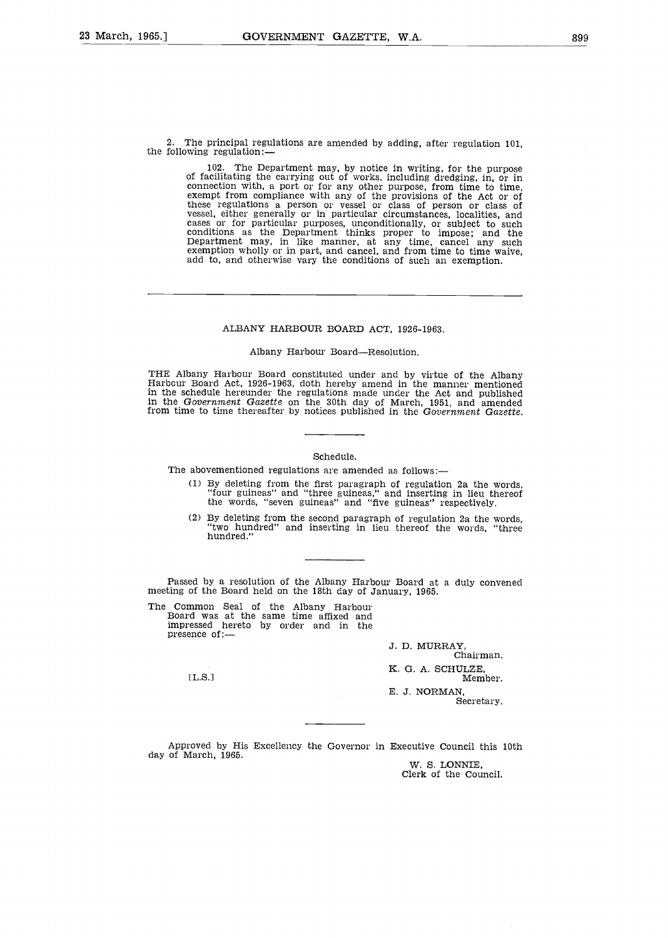2. The principal regulations are amended by adding, after regulation 101, the following regulation:-

102 . The Department may, by notice in writing, for the purpose of facilitating the carrying out of works, including dredging, in, or in connection with, a port or for any other purpose, from time to time, exempt from compliance with any of the provisions of the Act or of these regulations a person or vessel or class of person or class of vessel, either generally or in particular circumstances, localities, and cases or for particular purposes, unconditionally, or subject to such conditions add to, and otherwise vary the conditions of such an exemption.

#### ALBANY HARBOUR BOARD ACT, 1926-1963 .

#### Albany Harbour Board-Resolution.

THE Albany Harbour Board constituted under and by virtue of the Albany Harbour Board Act, 1926-1963, doth hereby amend in the manner mentioned in the schedule hereunder the regulations made under the Act and published in the Government Gazette on the 30th day of March, 1951, and amended from time to time thereafter by notices published in the Government Gazette.

#### Schedule.

The abovementioned regulations are amended as follows:-

- (1) By deleting from the first paragraph of regulation 2a the words, "four guineas" and "three guineas," and inserting in lieu thereof the words, "seven guineas" and "five guineas" respectively .
- (2) By deleting from the second paragraph of regulation 2a the words, "two hundred" and inserting in lieu thereof the words, "three hundred."

Passed by a resolution of the Albany Harbour Board at a duly convened meeting of the Board held on the 18th day of January, 1965.

The Common Seal of the Albany Harbour Board was at the same time affixed and impressed hereto by order and in the presence of :-

[L.S.]

J. D. MURRAY, Chairman. K. G. A. SCHULZE, Member. E. J. NORMAN, Secretary.

Approved by His Excellency the Governor in Executive Council this 10th day of March, 1965.

W. S. LONNIE. Clerk of the Council.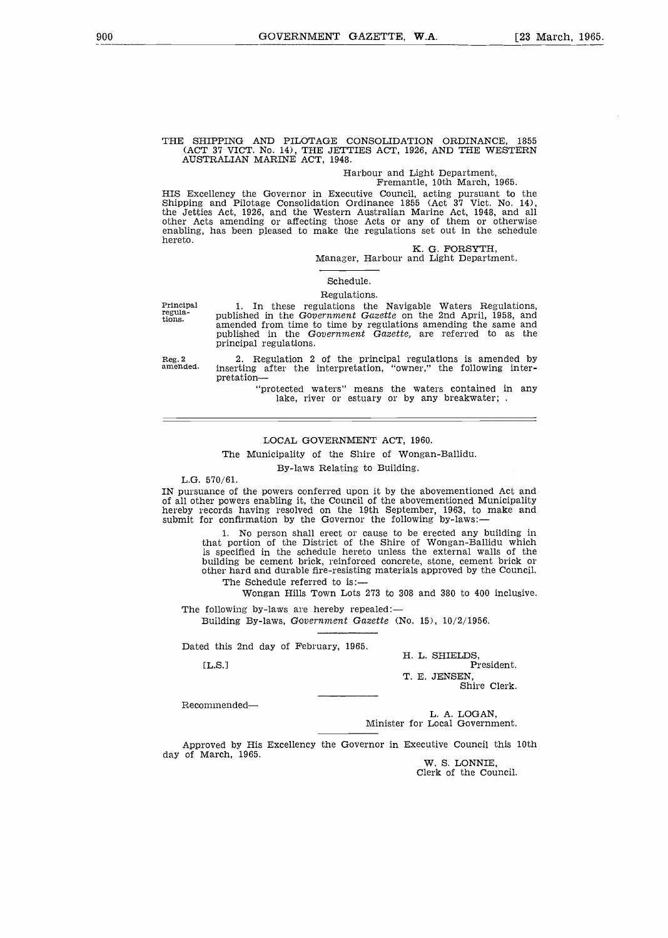# THE SHIPPING AND PILOTAGE CONSOLIDATION ORDINANCE, <sup>1855</sup> (ACT 37 VICT. No . 14), THE JETTIES ACT, 1926, AND THE WESTERN AUSTRALIAN MARINE ACT, 1948 .

# Harbour and Light Department,

# Fremantle, 10th March, 1965.

HIS Excellency the Governor in Executive Council, acting pursuant to the Shipping and Pilotage Consolidation Ordinance 1855 (Act 37 Viet. No. 14), the Jetties Act, 1926, and the Western Australian Marine Act, 1948, and all other Acts amending or affecting those Acts or any of them or otherwise enabling, has been pleased to make the regulations set out in the schedule hereto .

#### K. G. FORSYTH,

Manager, Harbour and Light Department.

#### Schedule.

#### Regulations.

Principal regula-tions .

Reg. 2<br>amended.

amended from time to time by regulations amending the same and published in the Government Gazette, are referred to as the principal regulations.

1. In these regulations the Navigable Waters Regulations,<br>published in the Government Gazette on the 2nd April, 1958, and

2 . Regulation 2 of the principal regulations is amended by inserting after the interpretation, "owner," the following interpretation-

"protected waters" means the waters contained in any lake, river or estuary or by any breakwater;

#### LOCAL GOVERNMENT ACT, 1960.

The Municipality of the Shire of Wongan-Ballidu.

By-laws Relating to Building .

L.G.  $570/61$ .

IN pursuance of the powers conferred upon it by the abovementioned Act and of all other powers enabling it, the Council of the abovementioned Municipality hereby records having resolved on the 19th September, 1963, to make and submit for confirmation by the Governor the following by-laws:

<sup>1</sup> . No person shall erect or cause to be erected any building in that portion of the District of the Shire of Wongan-Ballidu which is specified in the schedule hereto unless the external walls of the building be cement brick, reinforced concrete, stone, cement brick or other hard and durable fire-resisting materials approved by the Council.

The Schedule referred to is:-

Wongan Hills Town Lots 273 to 308 and 380 to 400 inclusive .

The following by-laws are hereby repealed: $-$ Building By-laws, Government Gazette (No. 15),  $10/2/1956$ .

Dated this 2nd day of February, 1965.

 $[T.S.1]$ 

H. L. SHIELDS, President.

T. E. JENSEN, Shire Clerk.

Recommended-

L. A. LOGAN, Minister for Local Government.

Approved by His Excellency the Governor in Executive Council this 10th day of March, 1965.

W. S. LONNIE, Clerk of the Council.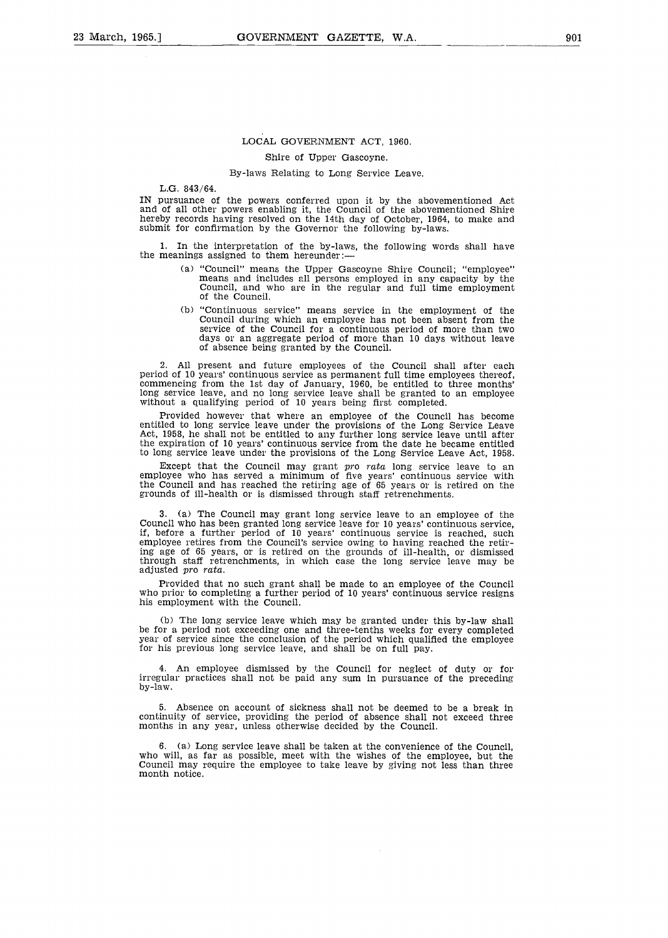# LOCAL GOVERNMENT ACT, 1960.

#### Shire of Upper Gascoyne.

#### By-laws Relating to Long Service Leave.

L.G. 843/64.

IN pursuance of the powers conferred upon it by the abovementioned Act and of all other powers enabling it, the Council of the abovementioned Shire hereby records having resolved on the 14th day of October, 1964, to make and submit for confirmation by the Governor the following by-laws.

<sup>1</sup> . In the interpretation of the by-laws, the following words shall have the meanings assigned to them hereunder :-

- (a) "Council" means the Upper Gascoyne Shire Council; "employee" means and includes all persons employed in any capacity by the Council, and who are in the regular and full time employment of the Council.
- (b) "Continuous service" means service in the employment of the Council during which an employee has not been absent from the service of the Council for a continuous period of more than two days or an aggregate period of more than 10 days without leave of absence being granted by the Council .

All present and future employees of the Council shall after each period of 10 years' continuous service as permanent full time employees thereof, commencing from the 1st day of January, 1960, be entitled to three months' long service leave, and no long service leave shall be granted to an employee without a qualifying period of 10 years being first completed .

Provided however that where an employee of the Council has become entitled to long service leave under the provisions of the Long Service Leave Act, 1958, he shall not be entitled to any further long service leave until after the expiration of 10 years' continuous service from the date he became entitled to long service leave under the provisions of the Long Service Leave Act, 1958 .

Except that the Council may grant pro rata long service leave to an employee who has served a minimum of five years' continuous service with the Council and has reached the retiring age of 65 years or is retired on the grounds of ill-health or is dismissed through staff retrenchments .

3. (a) The Council may grant long service leave to an employee of the<br>Council who has been granted long service leave for 10 years' continuous service,<br>if, before a further period of 10 years' continuous service is reached employee retires from the Council's service owing to having reached the retiring age of 65 years, or is retired on the grounds of ill-health, or dismissed through staff retrenchments, in which case the long service leave may be adjusted pro rata.

Provided that no such grant shall be made to an employee of the Council who prior to completing a further period of 10 years' continuous service resigns his employment with the Council.

(b) The long service leave which may be granted under this by-law shall be for a period not exceeding one and three-tenths weeks for every completed year of service since the conclusion of the period which qualified the employee for his previous long service leave, and shall be on full pay.

An employee dismissed by the Council for neglect of duty or for irregular practices shall not be paid any sum in pursuance of the preceding by-law .

Absence on account of sickness shall not be deemed to be a break in continuity of service, providing the period of absence shall not exceed three months in any year, unless otherwise decided by the Council.

(a) Long service leave shall be taken at the convenience of the Council, who will, as far as possible, meet with the wishes of the employee, but the Council may require the employee to take leave by giving not less than three month notice.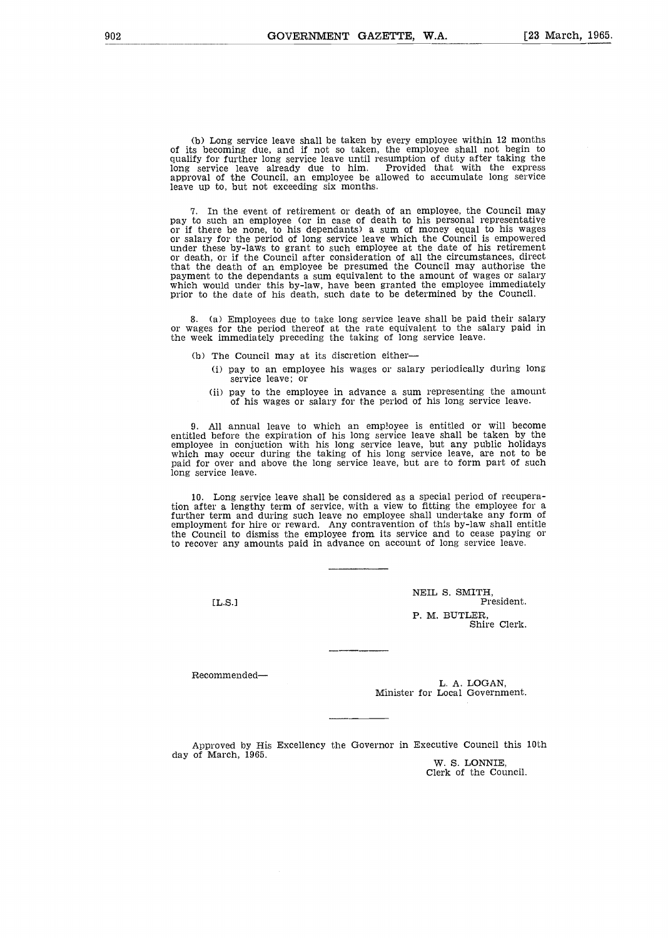(b) Long service leave shall be taken by every employee within 12 months of its becoming due, and if not so taken, the employee shall not begin to qualify for further long service leave until resumption of duty after taking the<br>long service leave already due to him. Provided that with the express<br>approval of the Council, an employee be allowed to accumulate long serv leave up to, but not exceeding six months.

7 . In the event of retirement or death of an employee, the Council may pay to such an employee (or in case of death to his personal representative<br>or if there be none, to his dependants) a sum of money equal to his wages<br>or salary for the period of long service leave which the Council is empo or death, or if the Council after consideration of all the circumstances, direct that the death of an employee be presumed the Council may authorise the payment to the dependants a sum equivalent to the amount of wages or salary which would under this by-law, have been granted the employee immediately<br>prior to the date of his death, such date to be determined by the Council.

8 . (a) Employees due to take long service leave shall be paid their salary or wages for the period thereof at the rate equivalent to the salary paid in the week immediately preceding the taking of long service leave.

- (b) The Council may at its discretion either-
	- (i) pay to an employee his wages or salary periodically during long service leave; or
	- (ii) pay to the employee in advance a sum representing the amount of his wages or salary for the period of his long service leave.

<sup>9</sup> . All annual leave to which an employee is entitled or will become entitled before the expiration of his long service leave shall be taken by the<br>employee in conjuction with his long service leave, but any public holidays<br>which may occur during the taking of his long service leave, are no paid for over and above the long service leave, but are to form part of such long service leave.

10. Long service leave shall be considered as a special period of recuperation after a lengthy term of service, with a view to fitting the employee for a further term and during such leave no employee shall undertake any form of employment for hire or reward . Any contravention of this by-law shall entitle the Council to dismiss the employee from its service and to cease paying or to recover any amounts paid in advance on account of long service leave.

 $IL.S.1$ 

NEIL S. SMITH, President. P. M. BUTLER, Shire Clerk.

Recommended-

L. A. LOGAN, Minister for Local Government .

Approved by His Excellency the Governor in Executive Council this 10th day of March, 1965 .

W. S. LONNIE, Clerk of the Council.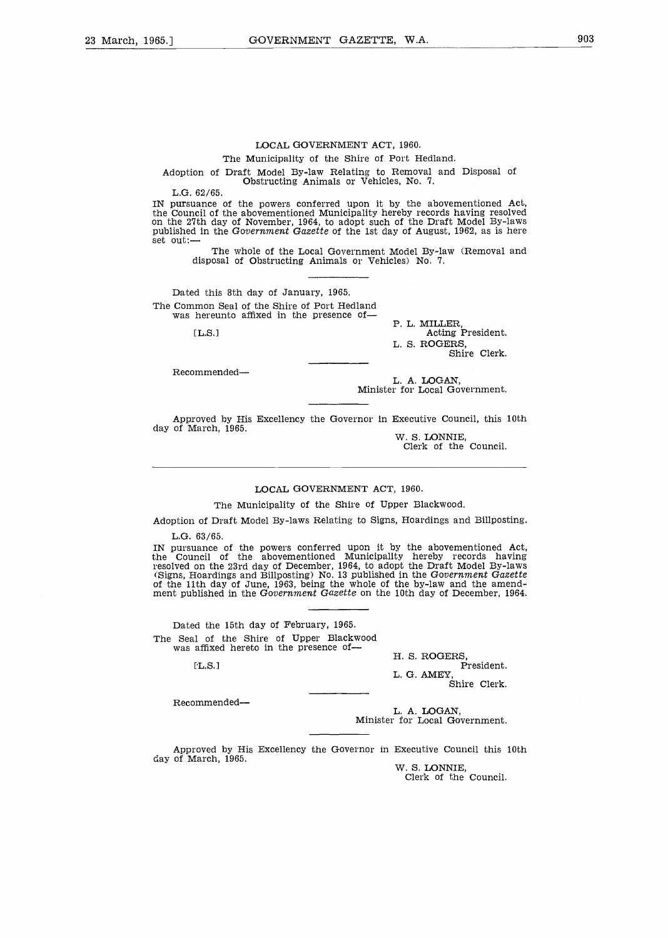#### LOCAL GOVERNMENT ACT, 1960.

#### The Municipality of the Shire of Port Hedland.

Adoption of Draft Model By-law Relating to Removal and Disposal of Obstructing Animals or Vehicles,  $N_0$ . 7.

 $L.G. 62/65.$ 

IN pursuance of the powers conferred upon it by the abovementioned Act, the Council of the abovementioned Municipality hereby records having resolved on the 27th day of November, 1964, to adopt such of the Draft Model By-laws published in the Government Gazette of the 1st day of August, 1962, as is here  $set out:$ ---

The whole of the Local Government Model By-law (Removal and disposal of Obstructing Animals or Vehicles) No. 7.

Dated this 8th day of January, 1965. The Common Seal of the Shire of Port Hedland was hereunto affixed in the presence of-

 $TLS.1$ 

P. L. MILLER, Acting President. L. S. ROGERS, Shire Clerk.

Recommended-

L. A. LOGAN, Minister for Local Government.

Approved by His Excellency the Governor in Executive Council, this 10th day of March, 1965.

W. S. LONNIE, Clerk of the Council.

#### LOCAL GOVERNMENT ACT, 1960.

The Municipality of the Shire of Upper Blackwood.

Adoption of Draft Model By-laws Relating to Signs, Hoardings and Billposting .

 $L.G. 63/65$ 

IN pursuance of the powers conferred upon it by the abovementioned Act, the Council of the abovementioned Municipality hereby records having resolved on the 23rd day of December, 1964, to adopt the Draft Model By-laws (Signs, Hoardings and Billposting) No . 13 published in the Government Gazette of the 11th day of June, 1963, being the whole of the by-law and the amend-<br>ment published in the Government Gazette on the 10th day of December, 1964.

Dated the 15th day of February, 1965. The Seal of the Shire of Upper Blackwood was affixed hereto in the presence of-

[L.S.]

H. S. ROGERS,<br>President.<br>L. G. AMEY, Shire Clerk.

Recommended-

L. A. LOGAN, Minister for Local Government.

Approved by His Excellency the Governor in Executive Council this 10th day of March, 1965.

W. S. LONNIE Clerk of the Council.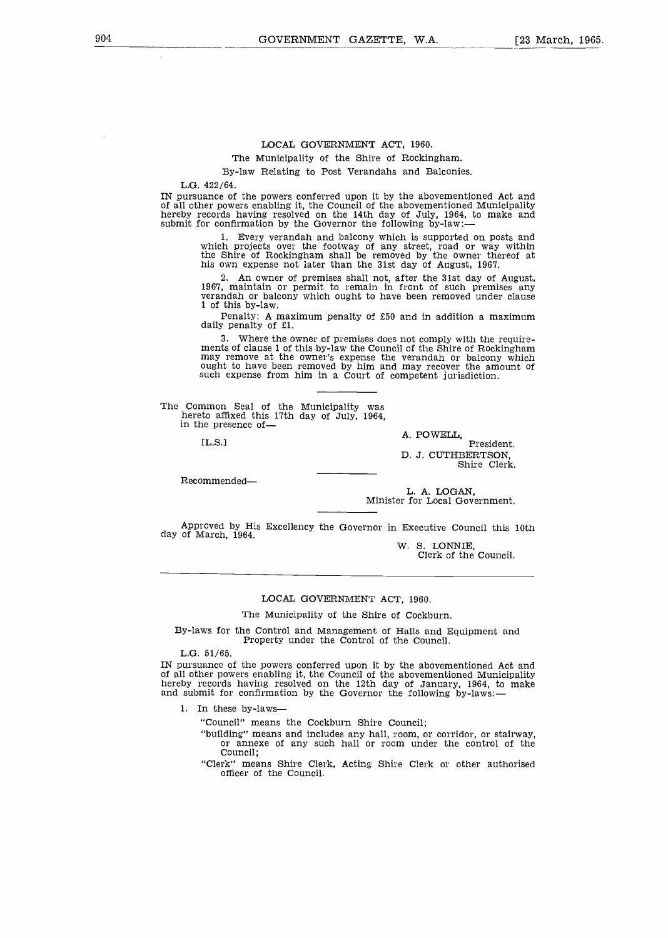# LOCAL GOVERNMENT ACT, 1960.

The Municipality of the Shire of Rockingham.

By-law Relating to Post Verandahs and Balconies.

L.G.  $422/64$ .

IN pursuance of the powers conferred upon it by the abovementioned Act and of all other powers enabling it, the Council of the abovementioned Municipality hereby records having resolved on the 14th day of July, 1964, to make and<br>submit for confirmation by the Governor the following by-law:—

Every verandah and balcony which is supported on posts and which projects over the footway of any street, road or way within the Shire of Rockingham shall be removed by the owner thereof at his own expense not later than the 31st day of August, 1967.

An owner of premises shall not, after the 31st day of August, 1967, maintain or permit to remain in front of such premises any verandah or balcony which ought to have been removed under clause 1 of this by-law.

Penalty : A maximum penalty of £50 and in addition a maximum daily penalty of £1.

3 . Where the owner of premises does not comply with the requirements of clause 1 of this by-law the Council of the Shire of Rockingham may remove at the owner's expense the verandah or balcony which ought to have been removed by him and may recover the amount of such expense from him in a Court of competent jurisdiction.

The Common Seal of the Municipality was hereto affixed this 17th day of July, 1964, in the presence of-

 $TL.S.1$ 

Recommended-

Shire Clerk.

D. J. CUTHBERTSON,

President.

L. A. LOGAN, Minister for Local Government.

A. POWELL,

Approved by His Excellency the Governor in Executive Council this 10th day of March, 1964.

W. S. LONNIE, Clerk of the Council.

#### LOCAL GOVERNMENT ACT, 1960.

The Municipality of the Shire of Cockburn.

By-laws for the Control and Management of Halls and Equipment and Property under the Control of the Council.

 $L.G. 51/65.$ 

IN pursuance of the powers conferred upon it by the abovementioned Act and of all other powers enabling it, the Council of the abovementioned Municipality hereby records having resolved on the 12th day of January, 1964, to make<br>and submit for confirmation by the Governor the following by-laws:—

1. In these by-laws-

"Council" means the Cockburn Shire Council;

"building" means and includes any hall, room, or corridor, or stairway, or annexe of any such hall or room under the control of the Council:

"Clerk" means Shire Clerk, Acting Shire Clerk or other authorised officer of the Council.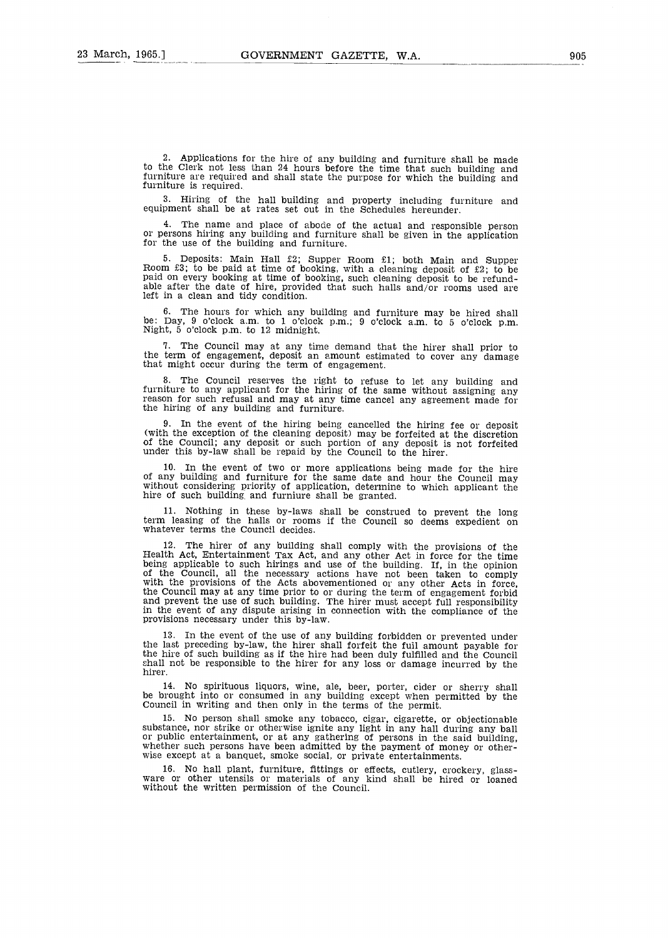2 . Applications for the hire of any building and furniture shall be made to the Clerk not less than 24 hours before the time that such building and furniture are required and shall state the purpose for which the building and furniture is required.

3 . Hiring of the hall building and property including furniture and equipment shall be at rates set out in the Schedules hereunder.

The name and place of abode of the actual and responsible person or persons hiring any building and furniture shall be given in the application for the use of the building and furniture.

<sup>5</sup> . Deposits : Main Hall £2 ; Supper Room £1; both Main and Supper Room £3 ; to be paid at time of booking, with a cleaning deposit of £2 ; to be paid on every booking at time of booking, such cleaning deposit to be refundable after the date of hire, provided that such halls and/or rooms used are left in a clean and tidy condition.

6 . The hours for which any building and furniture may be hired shall be : Day, 9 o'clock a .m. to 1 o'clock p.m. ; 9 o'clock a .m. to 5 o'clock p .m. Night, 5 o'clock p .m. to 12 midnight .

The Council may at any time demand that the hirer shall prior to the term of engagement, deposit an amount estimated to cover any damage that might occur during the term of engagement.

8 . The Council reserves the right to refuse to let any building and furniture to any applicant for the hiring of the same without assigning any reason for such refusal and may at any time cancel any agreement made for the hiring of any building and furniture.

In the event of the hiring being cancelled the hiring fee or deposit (with the exception of the cleaning deposit) may be forfeited at the discretion of the Council ; any deposit or such portion of any deposit is not forfeited under this by-law shall be repaid by the Council to the hirer .

10. In the event of two or more applications being made for the hire of any building and furniture for the same date and hour the Council may without considering priority of application, determine to which applicant the hire of such building and furniure shall be granted.

11 . Nothing in these by-laws shall be construed to prevent the long term leasing of the halls or rooms if the Council so deems expedient on whatever terms the Council decides.

12 . The hirer of any building shall comply with the provisions of the Health Act, Entertainment Tax Act, and any other Act in force for the time being applicable to such hirings and use of the building . If, in the opinion of the Council, all the necessary actions have not been taken to comply with the provisions of the Acts abovementioned or any other Acts in force, the Council may at any time prior to or during the term of engagement forbid and prevent the use of such building. The hirer must accept full responsibility in the event of any dispute arising in connection with the compliance of the provisions necessary under this by-law.

In the event of the use of any building forbidden or prevented under the last preceding by-law, the hirer shall forfeit the full amount payable for the hire of such building as if the hire had been duly fulfilled and the Council shall not be responsible to the hirer for any loss or damage incurred by the hirer.

14 . No spirituous liquors, wine, ale, beer, porter, cider or sherry shall be brought into or consumed in any building except when permitted by the Council in writing and then only in the terms of the permit.

15 . No person shall smoke any tobacco, cigar, cigarette, or objectionable substance, nor strike or otherwise ignite any light in any hall during any ball or public entertainment, or at any gathering of persons in the said building, whether such persons have been admitted by the payment of money or otherwise except at a banquet, smoke social, or private entertainments.

16 . No hall plant, furniture, fittings or effects, cutlery, crockery, glassware or other utensils or materials or any kind shall be hired or loaned without the written permission of the Council.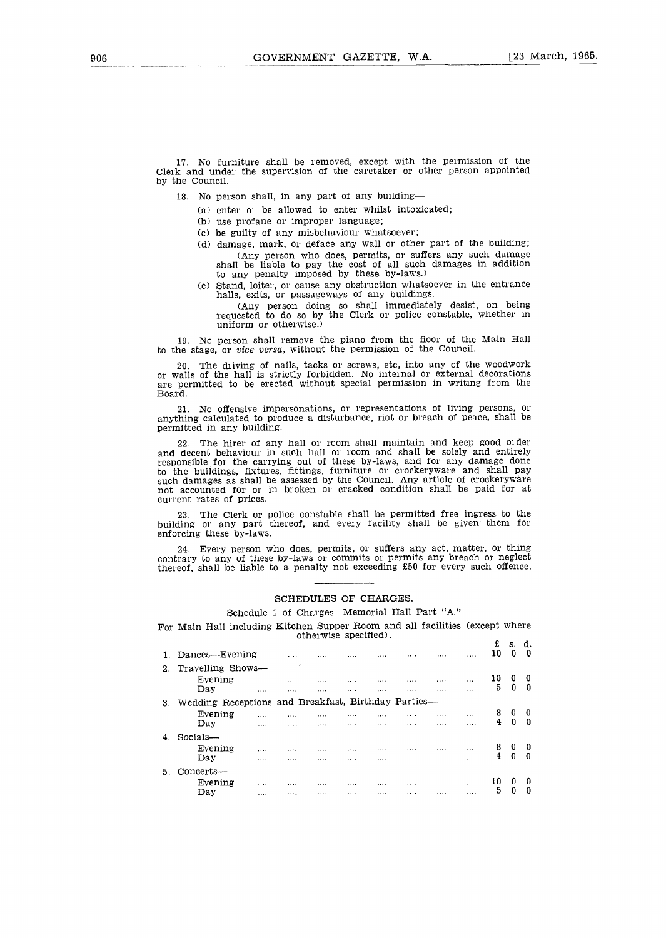17 . No furniture shall be removed, except with the permission of the Clerk and under the supervision of the caretaker or other person appointed by the Council.

- 18. No person shall, in any part of any building-
	- (a) enter or be allowed to enter whilst intoxicated;
	- (b) use profane or improper language;
	- (c) be guilty of any misbehaviour whatsoever ;
	- (d) damage, mark, or deface any wall or other part of the building; (Any person who does, permits, or suffers any such damage shall be hable to pay the cost of all such damages in addition<br>to any penalty imposed by these by-laws.)
	- (e) Stand, loiter, or cause any obstruction whatsoever in the entrance halls, exits, or passageways of any buildings.

(Any person doing so shall immediately desist, on being requested to do so by the Clerk or police constable, whether in uniform or otherwise .)

19 . No person shall remove the piano from the floor of the Main Hall to the stage, or vice versa, without the permission of the Council.

20 . The driving of nails, tacks or screws, etc, into any of the woodwork or walls of the hall is strictly forbidden . No internal or external decorations are permitted to be erected without special permission in writing from the Board.

21 . No offensive impersonations, or representations of living persons, or anything calculated to produce a disturbance, riot or breach of peace, shall be permitted in any building.

22. The hirer of any hall or room shall maintain and keep good order and decent behaviour in such hall or room and shall be solely and entirely responsible for the carrying out of these by-laws, and for any damage done to the buildings, fixtures, fittings, furniture or crockeryware and shall pay such damages as shall be assessed by the Council . Any article of crockeryware not accounted for or in broken or cracked condition shall be paid for at current rates of prices .

23. The Clerk or police constable shall be permitted free ingress to the building or any part thereof, and every facility shall be given them for enforcing these by-laws .

24. Every person who does, permits, or suffers any act, matter, or thing contrary to any of these by-laws or commits or permits any breach or neglect thereof, shall be liable to a penalty not exceeding £50 for every such offence.

#### SCHEDULES OF CHARGES.

# Schedule 1 of Charges-Memorial Hall Part "A."

For Main Hall including Kitchen Supper Room and all facilities (except where otherwise specified) . £ s. d.

|                      |          |                |   |          | . |   |   |                                                     | w<br>10 | о.<br>0          | ч.<br>0                        |
|----------------------|----------|----------------|---|----------|---|---|---|-----------------------------------------------------|---------|------------------|--------------------------------|
| 2. Travelling Shows- |          | ×              |   |          |   |   |   |                                                     |         |                  |                                |
| Evening              |          |                |   | $\cdots$ |   |   |   |                                                     | 10      | 0                |                                |
| Day                  | .        | .              |   | .        | . | . | . |                                                     |         |                  | $\Omega$                       |
|                      |          |                |   |          |   |   |   |                                                     |         |                  |                                |
| Evening              | $\cdots$ |                | . |          |   |   |   |                                                     | 8       | 0                | 0                              |
| Day                  |          | .              |   |          |   |   |   |                                                     |         |                  | $\Omega$                       |
| Socials-             |          |                |   |          |   |   |   |                                                     |         |                  |                                |
| Evening              |          | .              |   | .        |   | . |   | .                                                   | 8       | 0                | -0                             |
| Day                  | .        |                |   | .        | . |   | . |                                                     |         |                  | n                              |
| Concerts-            |          |                |   |          |   |   |   |                                                     |         |                  |                                |
| Evening              |          | .              | . | .        |   |   |   |                                                     | 10      | 0                | Ð                              |
| Day                  |          | .              |   |          | . | . | . |                                                     |         |                  | <sup>0</sup>                   |
|                      |          | Dances-Evening |   |          |   |   |   | Wedding Receptions and Breakfast, Birthday Parties- |         | 5<br>4<br>4<br>5 | $\Omega$<br>0<br>$\Omega$<br>0 |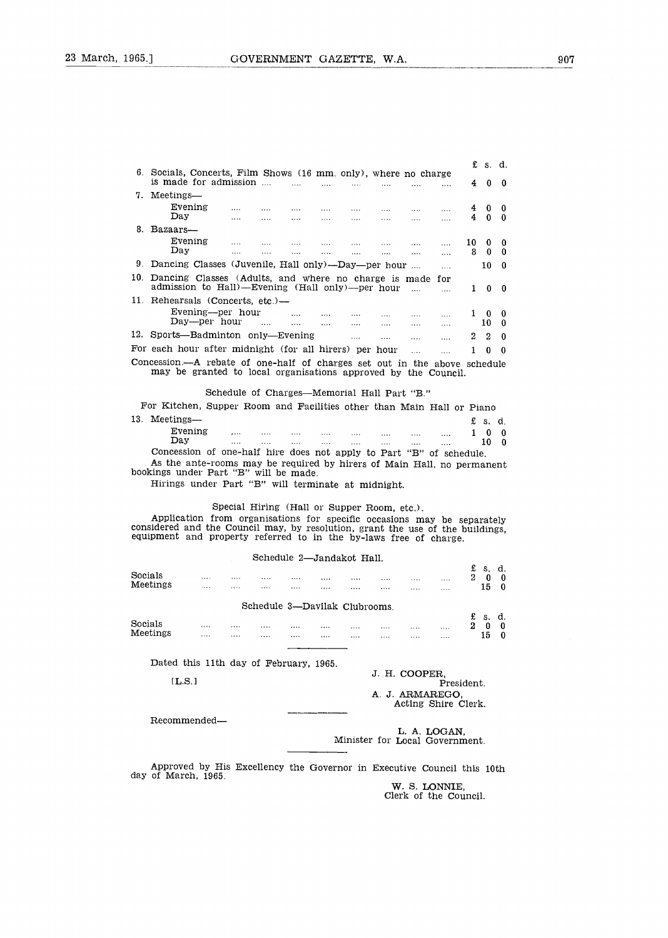|                                                                                                                  |                                                                                                                            |                                                                                                              |                |                          |          |                                       |                            |                     |          |    | £ s. d.        |                      |
|------------------------------------------------------------------------------------------------------------------|----------------------------------------------------------------------------------------------------------------------------|--------------------------------------------------------------------------------------------------------------|----------------|--------------------------|----------|---------------------------------------|----------------------------|---------------------|----------|----|----------------|----------------------|
|                                                                                                                  | 6. Socials, Concerts, Film Shows (16 mm. only), where no charge<br>is made for admission                                   |                                                                                                              |                |                          |          |                                       |                            |                     |          | 4  | $\bf{0}$       | 0                    |
|                                                                                                                  | 7. Meetings-                                                                                                               |                                                                                                              |                |                          |          |                                       |                            |                     |          |    |                |                      |
|                                                                                                                  | Evening                                                                                                                    |                                                                                                              |                | <b>Contract Contract</b> | and the  | $\ldots$                              | $\cdots$                   | 1.1.1               | $\cdots$ | 4  | 0              | 0                    |
|                                                                                                                  | Day                                                                                                                        | <b>Carlos</b>                                                                                                | <b>Service</b> | $\cdots$                 | $\cdots$ | $\cdots$                              | 1.111                      | $\cdots$            |          | 4  | $\mathbf{0}$   | $\Omega$             |
|                                                                                                                  | 8. Bazaars                                                                                                                 |                                                                                                              |                |                          |          |                                       |                            |                     |          |    |                |                      |
|                                                                                                                  | Evening<br>$_{\rm Day}$                                                                                                    |                                                                                                              |                | <b>Contract</b>          | $\cdots$ | $\cdots$                              | $\cdots$                   | <b>Sales Common</b> | $\cdots$ | 10 | 0              | 0                    |
|                                                                                                                  |                                                                                                                            | $\cdots$                                                                                                     | $\cdots$       | $\cdots$                 | $\cdots$ | $\cdots$                              | $\cdots$                   | $\cdots$            | $\cdots$ | 8  | $\Omega$       | $\Omega$             |
|                                                                                                                  | 9. Dancing Classes (Juvenile, Hall only)—Day—per hour<br>10<br>$\Omega$<br>$\cdots$                                        |                                                                                                              |                |                          |          |                                       |                            |                     |          |    |                |                      |
| 10. Dancing Classes (Adults, and where no charge is made for<br>admission to Hall)-Evening (Hall only)--per hour |                                                                                                                            |                                                                                                              |                |                          |          |                                       |                            |                     |          |    |                |                      |
|                                                                                                                  |                                                                                                                            |                                                                                                              |                |                          |          |                                       |                            | $\sim$              | $\cdots$ | 1  | $\bf{0}$       | $\Omega$             |
|                                                                                                                  | 11. Rehearsals (Concerts, etc.)-                                                                                           |                                                                                                              |                |                          |          |                                       |                            |                     |          |    |                |                      |
|                                                                                                                  | Evening—per hour                                                                                                           |                                                                                                              |                |                          |          | <b>Salary College</b>                 |                            |                     |          | 1. | $\bf{0}$       | $\bf{0}$             |
|                                                                                                                  | Day—per hour                                                                                                               |                                                                                                              |                | <b>Contractor</b>        | $\cdots$ |                                       | $\cdots$                   | $\cdots$            | $\cdots$ |    | 10             | $\mathbf{0}$         |
| 12.                                                                                                              | Sports-Badminton only-Evening                                                                                              |                                                                                                              |                |                          |          | <b>Save Company</b>                   | and the                    | .                   | $\cdots$ | 2  | $\mathfrak{D}$ | <sup>0</sup>         |
|                                                                                                                  | For each hour after midnight (for all hirers) per hour                                                                     |                                                                                                              |                |                          |          |                                       |                            | <b>.</b>            | $\dots$  | 1  | $\bf{0}$       | $\Omega$             |
|                                                                                                                  | Concession.—A rebate of one-half of charges set out in the above schedule                                                  |                                                                                                              |                |                          |          |                                       |                            |                     |          |    |                |                      |
|                                                                                                                  | may be granted to local organisations approved by the Council.                                                             |                                                                                                              |                |                          |          |                                       |                            |                     |          |    |                |                      |
|                                                                                                                  |                                                                                                                            |                                                                                                              |                |                          |          |                                       |                            |                     |          |    |                |                      |
|                                                                                                                  |                                                                                                                            | Schedule of Charges—Memorial Hall Part "B."                                                                  |                |                          |          |                                       |                            |                     |          |    |                |                      |
|                                                                                                                  | For Kitchen, Supper Room and Facilities other than Main Hall or Piano                                                      |                                                                                                              |                |                          |          |                                       |                            |                     |          |    |                |                      |
|                                                                                                                  | 13. Meetings-                                                                                                              |                                                                                                              |                |                          |          |                                       |                            |                     |          | £  | S.             | d.                   |
|                                                                                                                  | Evening<br>Day                                                                                                             | $\frac{1}{2}$ . The set of $\frac{1}{2}$ is a set of $\frac{1}{2}$ is a set of $\frac{1}{2}$<br><b>Sales</b> | <b>Service</b> | and the com-             | $\cdots$ | <b>Service</b> Contractor<br>$\cdots$ | $\ldots$<br><b>Service</b> | $\cdots$<br>        | $\cdots$ | 1. | $\bf{0}$<br>10 | $\Omega$<br>$\Omega$ |
|                                                                                                                  | Concession of one-half hire does not apply to Part "B" of schedule.                                                        |                                                                                                              |                |                          |          |                                       |                            |                     |          |    |                |                      |
|                                                                                                                  | As the ante-rooms may be required by hirers of Main Hall, no permanent                                                     |                                                                                                              |                |                          |          |                                       |                            |                     |          |    |                |                      |
|                                                                                                                  | bookings under Part "B" will be made.<br>$\text{Triviance and our Dom}(0,0)$ will foundate of $\text{mif } \text{dist}(1)$ |                                                                                                              |                |                          |          |                                       |                            |                     |          |    |                |                      |

Hirings under Part "B" will terminate at midnight.

# Special Hiring (Hall or Supper Room, etc.).

Application from organisations for specific occasions may be separately<br>considered and the Council may, by resolution, grant the use of the buildings<br>equipment and property referred to in the by-laws free of charge.

Schedule 2-Jandakot Hall.

| Socials<br>Meetings                    | .<br> | .<br> | .<br> | <br>. | .<br>.                        | <br> | .<br>.                         | <br>.         | .                                      | £<br>$\boldsymbol{2}$ | S.<br>$\bf{0}$<br>15 | d.<br>0<br>$\mathbf{0}$ |
|----------------------------------------|-------|-------|-------|-------|-------------------------------|------|--------------------------------|---------------|----------------------------------------|-----------------------|----------------------|-------------------------|
|                                        |       |       |       |       |                               |      |                                |               |                                        |                       |                      |                         |
|                                        |       |       |       |       | Schedule 3-Davilak Clubrooms. |      |                                |               |                                        |                       |                      |                         |
|                                        |       |       |       |       |                               |      |                                |               |                                        | £                     | S.                   | d.                      |
| Socials<br>Meetings                    | .     | .     |       | .     |                               |      | .                              |               |                                        | $\bf{2}$              | $\boldsymbol{0}$     | 0                       |
|                                        | .     |       | .     |       | .                             | .    |                                |               |                                        |                       | 15                   | 0                       |
|                                        |       |       |       |       |                               |      |                                |               |                                        |                       |                      |                         |
| Dated this 11th day of February, 1965. |       |       |       |       |                               |      |                                |               |                                        |                       |                      |                         |
|                                        |       |       |       |       |                               |      |                                | J. H. COOPER. |                                        |                       |                      |                         |
| LLS.1                                  |       |       |       |       |                               |      |                                |               | President.                             |                       |                      |                         |
|                                        |       |       |       |       |                               |      |                                |               | A. J. ARMAREGO.<br>Acting Shire Clerk. |                       |                      |                         |
| Recommended-                           |       |       |       |       |                               |      |                                |               |                                        |                       |                      |                         |
|                                        |       |       |       |       |                               |      | Minister for Local Government. |               | L. A. LOGAN,                           |                       |                      |                         |

Approved by His Excellency the Governor in Executive Council this 10th day of March, 1965 .

W. S. LONNIE,<br>Clerk of the Council.